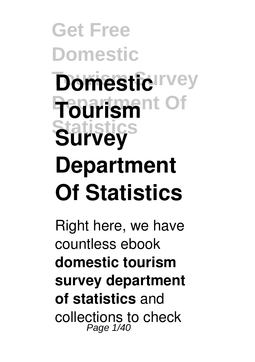# **Get Free Domestic Domestic**IIvey **Department Of Tourism Statistics Survey Department Of Statistics**

Right here, we have countless ebook **domestic tourism survey department of statistics** and collections to check Page  $1/40$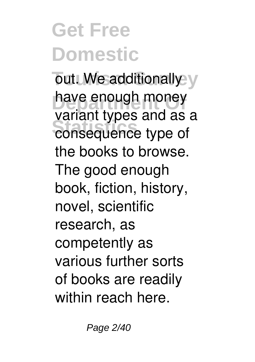out. We additionally y have enough money **Statistics** consequence type of variant types and as a the books to browse. The good enough book, fiction, history, novel, scientific research, as competently as various further sorts of books are readily within reach here.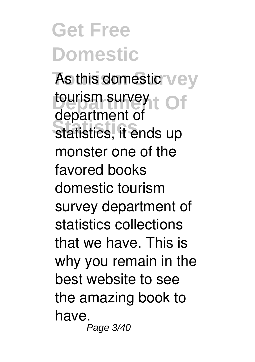As this domestic<sup>'</sup> vey tourism survey to of **Statistics** statistics, it ends up department of monster one of the favored books domestic tourism survey department of statistics collections that we have. This is why you remain in the best website to see the amazing book to have. Page 3/40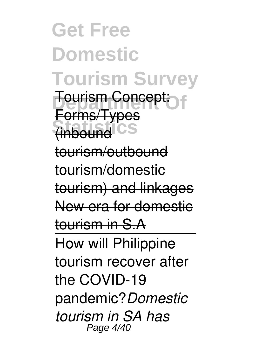**Get Free Domestic Tourism Survey Tourism Concept: Statistics** (inbound Forms/Types tourism/outbound tourism/domestic tourism) and linkages New era for domestic tourism in S.A How will Philippine tourism recover after the COVID-19 pandemic?*Domestic tourism in SA has* Page 4/40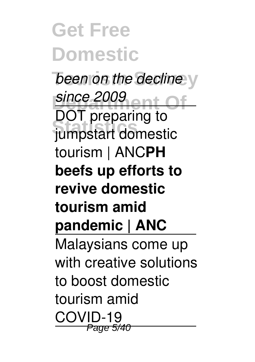**Get Free Domestic** *been on the decline* y **since 2009**<br>**DOT** *since* 2009 **Statistics** jumpstart domestic DOT preparing to tourism | ANC**PH beefs up efforts to revive domestic tourism amid pandemic | ANC** Malaysians come up with creative solutions to boost domestic tourism amid COVID-19 **Page 5/4**0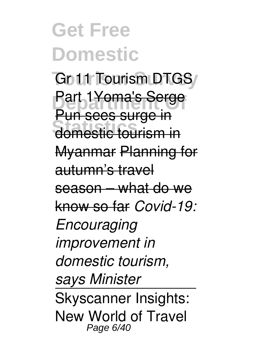Go 11 Tourism DTGS/ **Part 1Yoma's Serge Statistic tourism in** Pun sees surge in Myanmar Planning for autumn's travel season – what do we know so far *Covid-19: Encouraging improvement in domestic tourism, says Minister* Skyscanner Insights: New World of Travel Page 6/40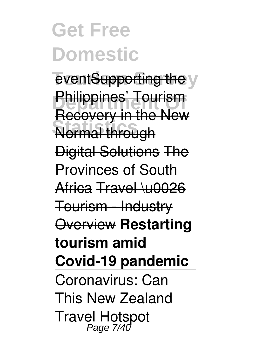eventSupporting the y **Philippines' Tourism Normal through** Recovery in the New Digital Solutions The Provinces of South Africa Travel \u0026 Tourism - Industry Overview **Restarting tourism amid Covid-19 pandemic** Coronavirus: Can This New Zealand Travel Hotspot Page 7/40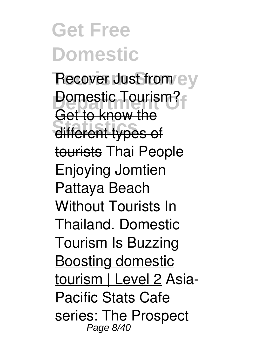Recover Just from ey **Domestic Tourism? Statistics** different types of Get to know the tourists Thai People Enjoying Jomtien Pattaya Beach Without Tourists In Thailand. Domestic Tourism Is Buzzing Boosting domestic tourism | Level 2 Asia-Pacific Stats Cafe series: The Prospect Page 8/40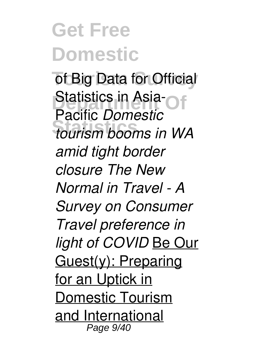of Big Data for Official **Statistics in Asia-Of Statistics** *tourism booms in WA* Pacific *Domestic amid tight border closure The New Normal in Travel - A Survey on Consumer Travel preference in light of COVID* Be Our Guest(y): Preparing for an Uptick in Domestic Tourism and International Page 9/40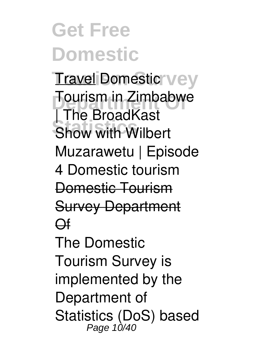#### **Get Free Domestic** Travel Domestic<sup>r</sup> vey **Tourism in Zimbabwe Show with Wilbert** | The BroadKast Muzarawetu | Episode 4 Domestic tourism Domestic Tourism Survey Department Of The Domestic Tourism Survey is implemented by the

Department of Statistics (DoS) based<br>Page 10/40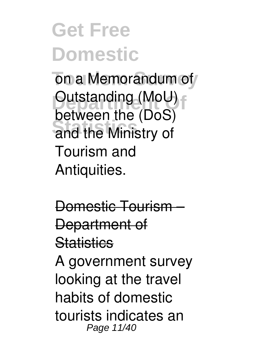on a Memorandum of **Dutstanding (MoU) Statistics** and the Ministry of between the (DoS) Tourism and Antiquities.

Domestic Tourism – Department of **Statistics** A government survey looking at the travel habits of domestic tourists indicates an Page 11/40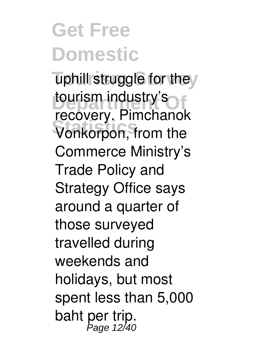uphill struggle for they **tourism industry's Statistics** Vonkorpon, from the recovery. Pimchanok Commerce Ministry's Trade Policy and Strategy Office says around a quarter of those surveyed travelled during weekends and holidays, but most spent less than 5,000 baht per trip.<br><sup>Page 12/40</sup>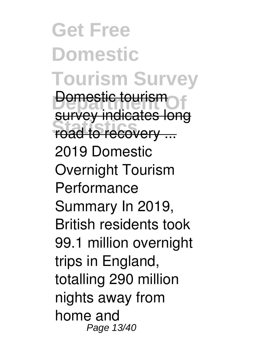**Get Free Domestic Tourism Survey Domestic tourism Foad to recovery ...** survey indicates long 2019 Domestic Overnight Tourism Performance Summary In 2019, British residents took 99.1 million overnight trips in England, totalling 290 million nights away from home and Page 13/40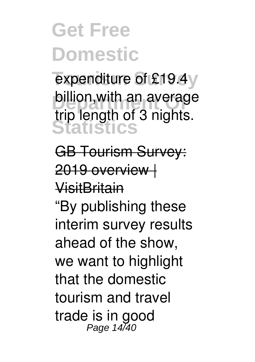expenditure of £19.4y **billion, with an average Statistics** trip length of 3 nights.

GB Tourism Survey: 2019 overview | VisitBritain

"By publishing these interim survey results ahead of the show, we want to highlight that the domestic tourism and travel trade is in good Page 14/40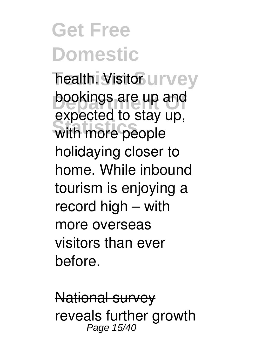**Thealth. Visitor UITVey** bookings are up and with more people expected to stay up, holidaying closer to home. While inbound tourism is enjoying a record high – with more overseas visitors than ever before.

National survey reveals further growth Page 15/40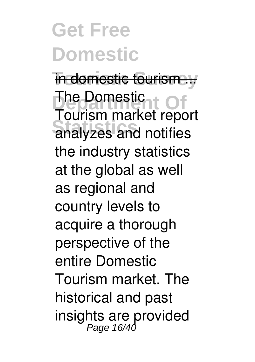in domestic tourism... **The Domestic LC Of Statistics** analyzes and notifies Tourism market report the industry statistics at the global as well as regional and country levels to acquire a thorough perspective of the entire Domestic Tourism market. The historical and past insights are provided Page 16/40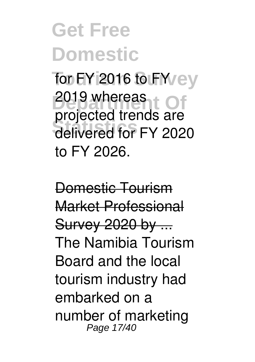### **Get Free Domestic Ton FY 2016 to FY** ey

**2019 whereas Statistics** delivered for FY 2020 projected trends are to FY 2026.

Domestic Tourism Market Professional Survey 2020 by ... The Namibia Tourism Board and the local tourism industry had embarked on a number of marketing Page 17/40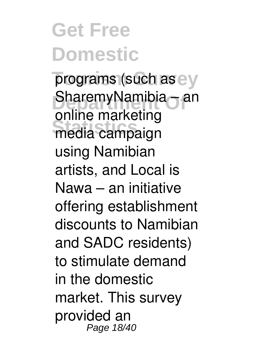programs (such as e y SharemyNamibia – an **Statistics** media campaign online marketing using Namibian artists, and Local is Nawa – an initiative offering establishment discounts to Namibian and SADC residents) to stimulate demand in the domestic market. This survey provided an Page 18/40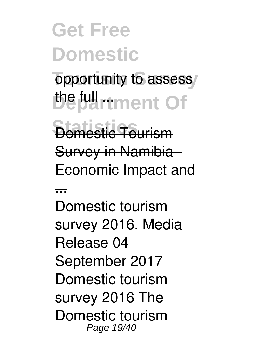opportunity to assess/ *Depurtment* Of

**Bomestic Tourism** Survey in Namibia - Economic Impact and

...

Domestic tourism survey 2016. Media Release 04 September 2017 Domestic tourism survey 2016 The Domestic tourism Page 19/40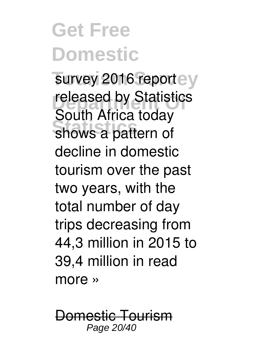survey 2016 reportey released by Statistics shows a pattern of South Africa today decline in domestic tourism over the past two years, with the total number of day trips decreasing from 44,3 million in 2015 to 39,4 million in read more »

Domestic Tourism Page 20/40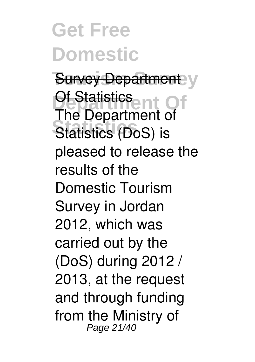**Get Free Domestic Survey Department** y **Di-Statistics**<br>The Department Of **Statistics** Statistics (DoS) is The Department of pleased to release the results of the Domestic Tourism Survey in Jordan 2012, which was carried out by the (DoS) during 2012 / 2013, at the request and through funding from the Ministry of Page 21/40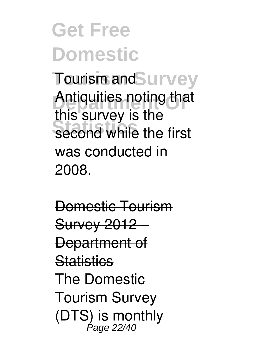Tourism and Survey Antiquities noting that second while the first this survey is the was conducted in 2008.

Domestic Tourism Survey 2012 – Department of **Statistics** The Domestic Tourism Survey (DTS) is monthly Page 22/40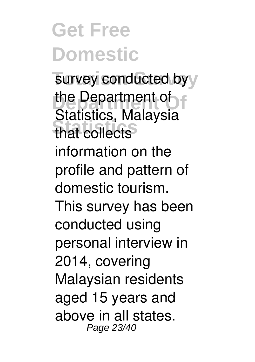survey conducted byy **Department Of** the Department of **Statistics** that collects Statistics, Malaysia information on the profile and pattern of domestic tourism. This survey has been conducted using personal interview in 2014, covering Malaysian residents aged 15 years and above in all states. Page 23/40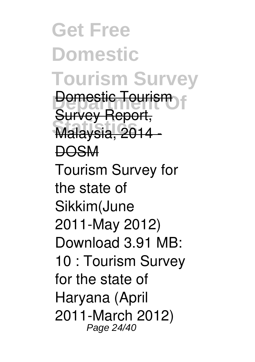**Get Free Domestic Tourism Survey Demestic Tourism Statistics** Malaysia, 2014 - Survey Report, **DOSM** Tourism Survey for the state of Sikkim(June 2011-May 2012) Download 3.91 MB: 10 : Tourism Survey for the state of Haryana (April 2011-March 2012) Page 24/40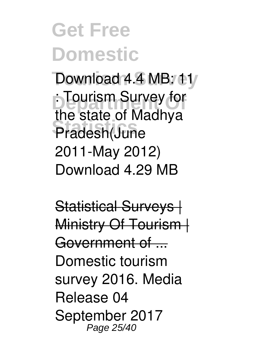Download 4.4 MB: 11/ **: Tourism Survey for Statistics** Pradesh(June the state of Madhya 2011-May 2012) Download 4.29 MB

Statistical Surveys | Ministry Of Tourism | Government of ... Domestic tourism survey 2016. Media Release 04 September 2017 Page 25/40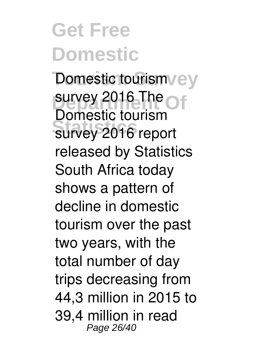Domestic tourism vey survey 2016 The Of survey 2016 report Domestic tourism released by Statistics South Africa today shows a pattern of decline in domestic tourism over the past two years, with the total number of day trips decreasing from 44,3 million in 2015 to 39,4 million in read Page 26/40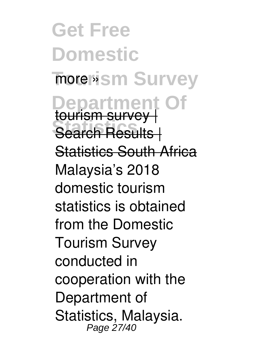**Get Free Domestic** more wism Survey **Department** Search Results | tourism survey | Statistics South Africa Malaysia's 2018 domestic tourism statistics is obtained from the Domestic Tourism Survey conducted in cooperation with the Department of Statistics, Malaysia. Page 27/40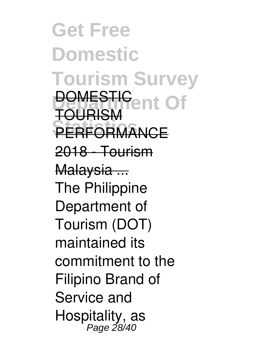**Get Free Domestic Tourism Survey DOMESTIC**<br>TOUDISM **PERFORMANCE** TOURISM 2018 - Tourism Malaysia ... The Philippine Department of Tourism (DOT) maintained its commitment to the Filipino Brand of Service and Hospitality, as Page 28/40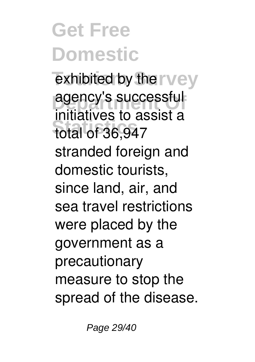exhibited by the rvey **agency's successful Statistics** total of 36,947 initiatives to assist a stranded foreign and domestic tourists, since land, air, and sea travel restrictions were placed by the government as a precautionary measure to stop the spread of the disease.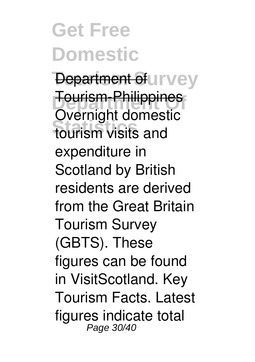**Department of urvey Tourism-Philippines Statistics** tourism visits and Overnight domestic expenditure in Scotland by British residents are derived from the Great Britain Tourism Survey (GBTS). These figures can be found in VisitScotland. Key Tourism Facts. Latest figures indicate total Page 30/40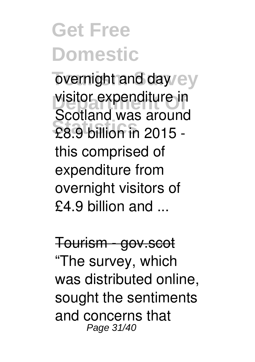overnight and day/ey visitor expenditure in **Statistics** £8.9 billion in 2015 - Scotland was around this comprised of expenditure from overnight visitors of £4.9 billion and ...

Tourism - gov.scot "The survey, which was distributed online, sought the sentiments and concerns that Page 31/40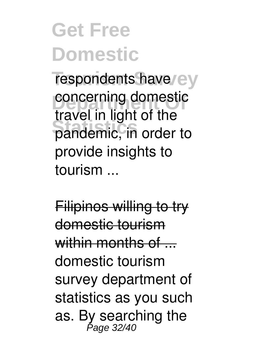respondents have/ey concerning domestic **Statistics** pandemic, in order to travel in light of the provide insights to tourism ...

Filipinos willing to try domestic tourism within months of ... domestic tourism survey department of statistics as you such as. By searching the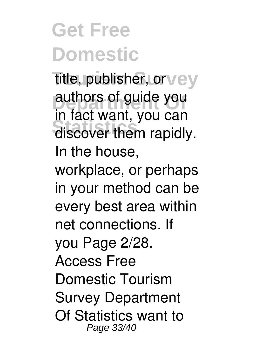**Title, publisher, or vey** authors of guide you discover them rapidly. in fact want, you can In the house, workplace, or perhaps in your method can be every best area within net connections. If you Page 2/28. Access Free Domestic Tourism Survey Department Of Statistics want to Page 33/40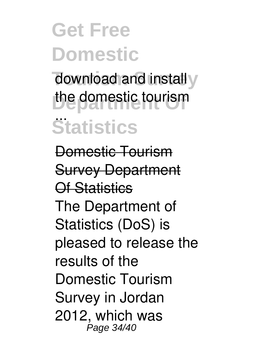download and install y the domestic tourism **Statistics** ...

Domestic Tourism Survey Department Of Statistics The Department of Statistics (DoS) is pleased to release the results of the Domestic Tourism Survey in Jordan 2012, which was Page 34/40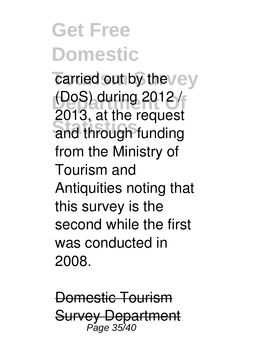carried out by the vey (DoS) during 2012 / **Statistics** and through funding 2013, at the request from the Ministry of Tourism and Antiquities noting that this survey is the second while the first was conducted in 2008.

Domestic Tourism Survey Department Page 35/40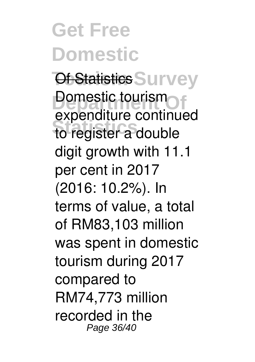**Get Free Domestic Of Statistics Survey Domestic tourism Statistics** to register a double expenditure continued digit growth with 11.1 per cent in 2017 (2016: 10.2%). In terms of value, a total of RM83,103 million was spent in domestic tourism during 2017 compared to RM74,773 million recorded in the Page 36/40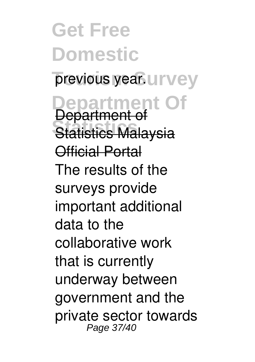**Get Free Domestic** previous year. **UITV**ey **Department Of Statistics** Statistics Malaysia Department of Official Portal The results of the surveys provide important additional data to the collaborative work that is currently underway between government and the private sector towards Page 37/40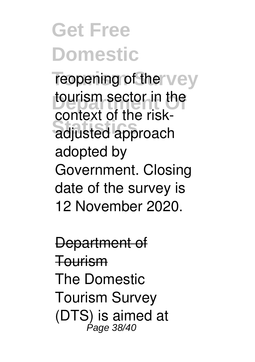reopening of the vey **tourism sector in the Statistics** adjusted approach context of the riskadopted by Government. Closing date of the survey is 12 November 2020.

Department of Tourism The Domestic Tourism Survey (DTS) is aimed at Page 38/40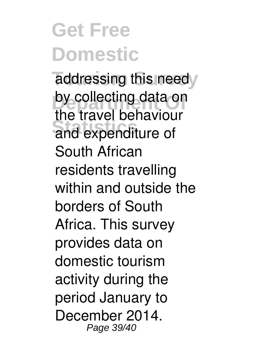addressing this needy by collecting data on and expenditure of the travel behaviour South African residents travelling within and outside the borders of South Africa. This survey provides data on domestic tourism activity during the period January to December 2014. Page 39/40